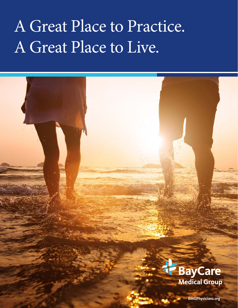## A Great Place to Practice. A Great Place to Live.

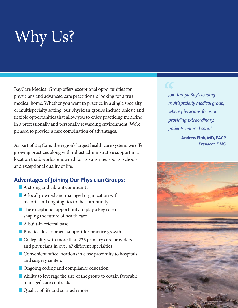# Why Us?

BayCare Medical Group offers exceptional opportunities for physicians and advanced care practitioners looking for a true medical home. Whether you want to practice in a single specialty or multispecialty setting, our physician groups include unique and flexible opportunities that allow you to enjoy practicing medicine in a professionally and personally rewarding environment. We're pleased to provide a rare combination of advantages.

As part of BayCare, the region's largest health care system, we offer growing practices along with robust administrative support in a location that's world-renowned for its sunshine, sports, schools and exceptional quality of life.

### **Advantages of Joining Our Physician Groups:**

- $\blacksquare$  A strong and vibrant community
- $\blacksquare$  A locally owned and managed organization with historic and ongoing ties to the community
- $\blacksquare$  The exceptional opportunity to play a key role in shaping the future of health care
- $\blacksquare$  A built-in referral base
- $\blacksquare$  Practice development support for practice growth
- $\blacksquare$  Collegiality with more than 225 primary care providers and physicians in over 47 different specialties
- $\blacksquare$  Convenient office locations in close proximity to hospitals and surgery centers
- **n** Ongoing coding and compliance education
- $\blacksquare$  Ability to leverage the size of the group to obtain favorable managed care contracts
- **n** Quality of life and so much more

*Join Tampa Bay's leading multispecialty medical group, where physicians focus on providing extraordinary, patient-centered care."*

> **– Andrew Fink, MD, FACP** *President, BMG*

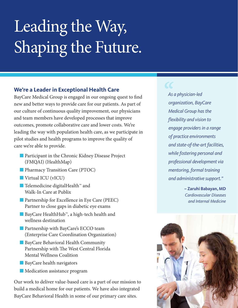# Leading the Way, Shaping the Future.

### **We're a Leader in Exceptional Health Care**

BayCare Medical Group is engaged in our ongoing quest to find new and better ways to provide care for our patients. As part of our culture of continuous quality improvement, our physicians and team members have developed processes that improve outcomes, promote collaborative care and lower costs. We're leading the way with population health care, as we participate in pilot studies and health programs to improve the quality of care we're able to provide.

- $\blacksquare$  Participant in the Chronic Kidney Disease Project (FMQAI) (HealthMap)
- **n Pharmacy Transition Care (PTOC)**
- **N** Virtual ICU (vICU)
- Telemedicine digitalHealth™ and Walk-In Care at Publix
- **n** Partnership for Excellence in Eye Care (PEEC) Partner to close gaps in diabetic eye exams
- BayCare HealthHub™, a high-tech health and wellness destination
- **n** Partnership with BayCare's ECCO team (Enterprise Care Coordination Organization)
- **BayCare Behavioral Health Community** Partnership with The West Central Florida Mental Wellness Coalition
- $\blacksquare$  BayCare health navigators
- **n** Medication assistance program

Our work to deliver value-based care is a part of our mission to build a medical home for our patients. We have also integrated BayCare Behavioral Health in some of our primary care sites.

*As a physician-led organization, BayCare Medical Group has the flexibility and vision to engage providers in a range of practice environments and state-of-the-art facilities, while fostering personal and professional development via mentoring, formal training and administrative support."*

> **– Zaruhi Babayan, MD** *Cardiovascular Diseases and Internal Medicine*

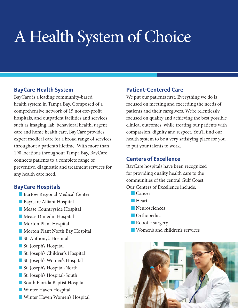## A Health System of Choice

### **BayCare Health System**

BayCare is a leading community-based health system in Tampa Bay. Composed of a comprehensive network of 15 not-for-profit hospitals, and outpatient facilities and services such as imaging, lab, behavioral health, urgent care and home health care, BayCare provides expert medical care for a broad range of services throughout a patient's lifetime. With more than 190 locations throughout Tampa Bay, BayCare connects patients to a complete range of preventive, diagnostic and treatment services for any health care need.

### **BayCare Hospitals**

- **n** Bartow Regional Medical Center
- **n** BayCare Alliant Hospital
- **n Mease Countryside Hospital**
- **Nease Dunedin Hospital**
- **Norton Plant Hospital**
- **n** Morton Plant North Bay Hospital
- St. Anthony's Hospital
- **n** St. Joseph's Hospital
- St. Joseph's Children's Hospital
- **n** St. Joseph's Women's Hospital
- St. Joseph's Hospital-North
- **n** St. Joseph's Hospital-South
- South Florida Baptist Hospital
- **N** Winter Haven Hospital
- **N** Winter Haven Women's Hospital

## **Patient-Centered Care**

We put our patients first. Everything we do is focused on meeting and exceeding the needs of patients and their caregivers. We're relentlessly focused on quality and achieving the best possible clinical outcomes, while treating our patients with compassion, dignity and respect. You'll find our health system to be a very satisfying place for you to put your talents to work.

### **Centers of Excellence**

BayCare hospitals have been recognized for providing quality health care to the communities of the central Gulf Coast. Our Centers of Excellence include:

- $\Box$  Cancer
- $Heart$
- **Neurosciences**
- **n** Orthopedics
- Robotic surgery
- **Nomen's and children's services**

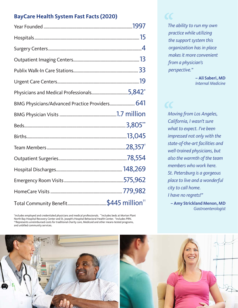## **BayCare Health System Fast Facts (2020)**

| Physicians and Medical Professionals5,842 $^*$ |  |
|------------------------------------------------|--|
| BMG Physicians/Advanced Practice Providers 641 |  |
|                                                |  |
|                                                |  |
|                                                |  |
|                                                |  |
|                                                |  |
|                                                |  |
|                                                |  |
|                                                |  |
|                                                |  |

\* Includes employed and credentialed physicians and medical professionals. \*\*Includes beds at Morton Plant North Bay Hospital Recovery Center and St. Joseph's Hospital Behavioral Health Center. † Includes PRN. ††Represents unreimbursed costs for traditional charity care, Medicaid and other means-tested programs, and unbilled community services.

*The ability to run my own practice while utilizing the support system this organization has in place makes it more convenient from a physician's perspective."*

 $\boldsymbol{\mathcal{C}}$ 

 **– Ali Saberi, MD** *Internal Medicine*

*Moving from Los Angeles, California, I wasn't sure what to expect. I've been impressed not only with the state-of-the-art facilities and well-trained physicians, but also the warmth of the team members who work here. St. Petersburg is a gorgeous place to live and a wonderful city to call home. I have no regrets!"*

 **– Amy Strickland Menon, MD** *Gastroenterologist*

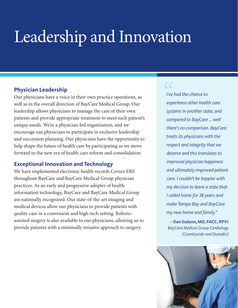## Leadership and Innovation

### **Physician Leadership**

Our physicians have a voice in their own practice operations, as well as in the overall direction of BayCare Medical Group. Our leadership allows physicians to manage the care of their own patients and provide appropriate treatment to meet each patient's unique needs. We're a physician-led organization, and we encourage our physicians to participate in exclusive leadership and succession planning. Our physicians have the opportunity to help shape the future of health care by participating as we move forward in the new era of health care reform and consolidation.

### **Exceptional Innovation and Technology**

We have implemented electronic health records Cerner ERS throughout BayCare and BayCare Medical Group physician practices. As an early and progressive adopter of health information technology, BayCare and BayCare Medical Group are nationally recognized. Our state-of-the-art imaging and medical devices allow our physicians to provide patients with quality care in a convenient and high-tech setting. Roboticassisted surgery is also available to our physicians, allowing us to provide patients with a minimally invasive approach to surgery.

*I've had the chance to experience other health care systems in another state, and compared to BayCare ... well there's no comparison. BayCare treats its physicians with the respect and integrity that we deserve and this translates to improved physician happiness and ultimately improved patient care. I couldn't be happier with my decision to leave a state that I called home for 38 years and make Tampa Bay and BayCare my new home and family."*

**– Dan Sodano, MD, FACC, RPVI** *BayCare Medical Group Cardiology (Countryside and Dunedin)*

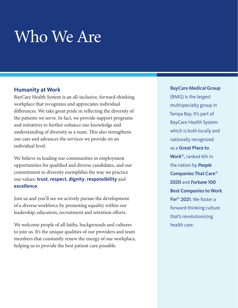## Who We Are

### **Humanity at Work**

BayCare Health System is an all-inclusive, forward-thinking workplace that recognizes and appreciates individual differences. We take great pride in reflecting the diversity of the patients we serve. In fact, we provide support programs and initiatives to further enhance our knowledge and understanding of diversity as a team. This also strengthens our care and advances the services we provide on an individual level.

We believe in leading our communities in employment opportunities for qualified and diverse candidates, and our commitment to diversity exemplifies the way we practice our values: **trust**, **respect**, **dignity**, **responsibility** and **excellence**.

Join us and you'll see we actively pursue the development of a diverse workforce by promoting equality within our leadership, education, recruitment and retention efforts.

We welcome people of all faiths, backgrounds and cultures to join us. It's the unique qualities of our providers and team members that constantly renew the energy of our workplace, helping us to provide the best patient care possible.

**BayCare Medical Group**  (BMG) is the largest multispecialty group in Tampa Bay. It's part of BayCare Health System which is both locally and nationally recognized as a **Great Place to Work**®, ranked 6th in the nation by *People*  **Companies That Care**® **2020** and *Fortune* **100 Best Companies to Work For**® **2021**. We foster a forward-thinking culture that's revolutionizing health care.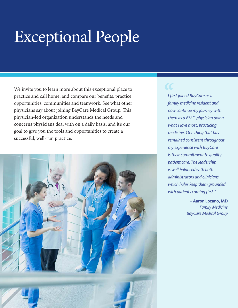## Exceptional People

We invite you to learn more about this exceptional place to practice and call home, and compare our benefits, practice opportunities, communities and teamwork. See what other physicians say about joining BayCare Medical Group. This physician-led organization understands the needs and concerns physicians deal with on a daily basis, and it's our goal to give you the tools and opportunities to create a successful, well-run practice.



*I first joined BayCare as a family medicine resident and now continue my journey with them as a BMG physician doing what I love most, practicing medicine. One thing that has remained consistent throughout my experience with BayCare is their commitment to quality patient care. The leadership is well balanced with both administrators and clinicians, which helps keep them grounded with patients coming first."*

> **– Aaron Lozano, MD**  *Family Medicine BayCare Medical Group*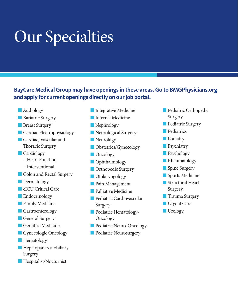## Our Specialties

## **BayCare Medical Group may have openings in these areas. Go to BMGPhysicians.org and apply for current openings directly on our job portal.**

- **n** Audiology
- **n** Bariatric Surgery
- **n** Breast Surgery
- **n** Cardiac Electrophysiology
- **Cardiac, Vascular and** Thoracic Surgery
- **n** Cardiology
	- Heart Function
	- Interventional
- **n** Colon and Rectal Surgery
- **Dermatology**
- **n** eICU Critical Care
- **n** Endocrinology
- **n** Family Medicine
- **n** Gastroenterology
- **n** General Surgery
- **n** Geriatric Medicine
- **n** Gynecologic Oncology
- **Hematology**
- $\blacksquare$  Hepatopancreatobiliary Surgery
- **n** Hospitalist/Nocturnist
- **n** Integrative Medicine
- **n** Internal Medicine
- **Nephrology**
- **Neurological Surgery**
- **Neurology**
- **n** Obstetrics/Gynecology
- **n** Oncology
- **n** Ophthalmology
- **n** Orthopedic Surgery
- **n** Otolaryngology
- **n** Pain Management
- **n** Palliative Medicine
- n Pediatric Cardiovascular Surgery
- **n** Pediatric Hematology-**Oncology**
- **n** Pediatric Neuro-Oncology
- **n** Pediatric Neurosurgery
- **n** Pediatric Orthopedic Surgery
- **n** Pediatric Surgery
- **n** Pediatrics
- **n** Podiatry
- **n** Psychiatry
- **n** Psychology
- **Rheumatology**
- Spine Surgery
- **n** Sports Medicine
- $\blacksquare$  Structural Heart Surgery
- **n** Trauma Surgery
- **N** Urgent Care
- $\blacksquare$  Urology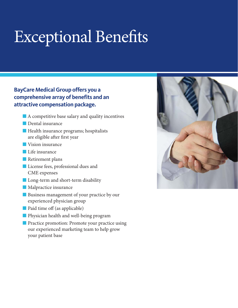## Exceptional Benefits

### **BayCare Medical Group offers you a comprehensive array of benefits and an attractive compensation package.**

- $\blacksquare$  A competitive base salary and quality incentives
- Dental insurance
- **n** Health insurance programs; hospitalists are eligible after first year
- **N** Vision insurance
- $\blacksquare$  Life insurance
- **n** Retirement plans
- **n** License fees, professional dues and CME expenses
- **n** Long-term and short-term disability
- $\blacksquare$  Malpractice insurance
- **n** Business management of your practice by our experienced physician group
- n Paid time off (as applicable)
- **n** Physician health and well-being program
- **n** Practice promotion: Promote your practice using our experienced marketing team to help grow your patient base

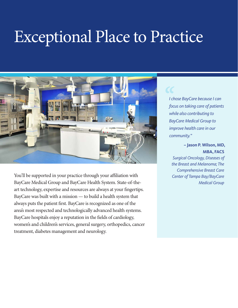## Exceptional Place to Practice



You'll be supported in your practice through your affiliation with BayCare Medical Group and BayCare Health System. State-of-theart technology, expertise and resources are always at your fingertips. BayCare was built with a mission — to build a health system that always puts the patient first. BayCare is recognized as one of the area's most respected and technologically advanced health systems. BayCare hospitals enjoy a reputation in the fields of cardiology, women's and children's services, general surgery, orthopedics, cancer treatment, diabetes management and neurology.

*I chose BayCare because I can focus on taking care of patients while also contributing to BayCare Medical Group to improve health care in our community."*

### **– Jason P. Wilson, MD, MBA, FACS**

*Surgical Oncology, Diseases of the Breast and Melanoma; The Comprehensive Breast Care Center of Tampa Bay/BayCare Medical Group*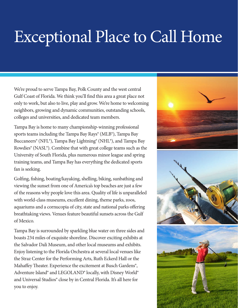## Exceptional Place to Call Home

We're proud to serve Tampa Bay, Polk County and the west central Gulf Coast of Florida. We think you'll find this area a great place not only to work, but also to live, play and grow. We're home to welcoming neighbors, growing and dynamic communities, outstanding schools, colleges and universities, and dedicated team members.

Tampa Bay is home to many championship-winning professional sports teams including the Tampa Bay Rays® (MLB®), Tampa Bay Buccaneers® (NFL®), Tampa Bay Lightning® (NHL®), and Tampa Bay Rowdies® (NASL®). Combine that with great college teams such as the University of South Florida, plus numerous minor league and spring training teams, and Tampa Bay has everything the dedicated sports fan is seeking.

Golfing, fishing, boating/kayaking, shelling, biking, sunbathing and viewing the sunset from one of America's top beaches are just a few of the reasons why people love this area. Quality of life is unparalleled with world-class museums, excellent dining, theme parks, zoos, aquariums and a cornucopia of city, state and national parks offering breathtaking views. Venues feature beautiful sunsets across the Gulf of Mexico.

Tampa Bay is surrounded by sparkling blue water on three sides and boasts 234 miles of exquisite shoreline. Discover exciting exhibits at the Salvador Dali Museum, and other local museums and exhibits. Enjoy listening to the Florida Orchestra at several local venues like the Straz Center for the Performing Arts, Ruth Eckerd Hall or the Mahaffey Theater. Experience the excitement at Busch Gardens®, Adventure Island® and LEGOLAND® locally, with Disney World® and Universal Studios® close by in Central Florida. It's all here for you to enjoy.